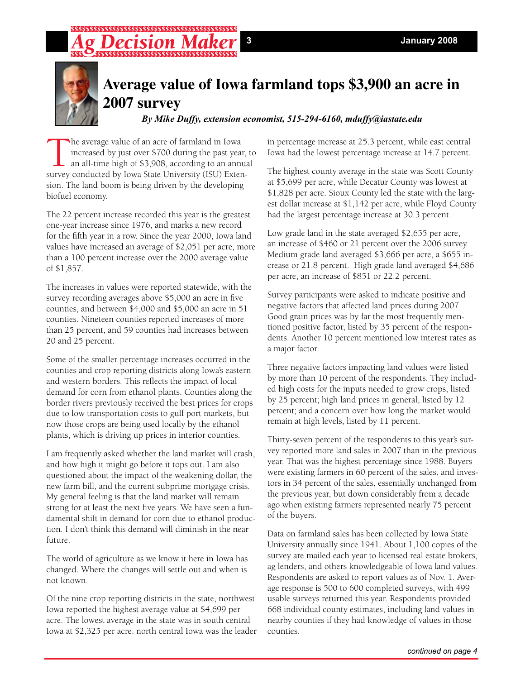## 



## **Average value of Iowa farmland tops \$3,900 an acre in 2007 survey**

*By Mike Duffy, extension economist, 515-294-6160, mduffy@iastate.edu*

The average value of an acre of farmland in Iowa<br>increased by just over \$700 during the past year<br>an all-time high of \$3,908, according to an annu<br>survey conducted by Iowa State University (ISU) Exter increased by just over \$700 during the past year, to an all-time high of \$3,908, according to an annual survey conducted by Iowa State University (ISU) Extension. The land boom is being driven by the developing biofuel economy.

The 22 percent increase recorded this year is the greatest one-year increase since 1976, and marks a new record for the fifth year in a row. Since the year 2000, Iowa land values have increased an average of \$2,051 per acre, more than a 100 percent increase over the 2000 average value of \$1,857.

The increases in values were reported statewide, with the survey recording averages above \$5,000 an acre in five counties, and between \$4,000 and \$5,000 an acre in 51 counties. Nineteen counties reported increases of more than 25 percent, and 59 counties had increases between 20 and 25 percent.

Some of the smaller percentage increases occurred in the counties and crop reporting districts along Iowa's eastern and western borders. This reflects the impact of local demand for corn from ethanol plants. Counties along the border rivers previously received the best prices for crops due to low transportation costs to gulf port markets, but now those crops are being used locally by the ethanol plants, which is driving up prices in interior counties.

I am frequently asked whether the land market will crash, and how high it might go before it tops out. I am also questioned about the impact of the weakening dollar, the new farm bill, and the current subprime mortgage crisis. My general feeling is that the land market will remain strong for at least the next five years. We have seen a fundamental shift in demand for corn due to ethanol production. I don't think this demand will diminish in the near future.

The world of agriculture as we know it here in Iowa has changed. Where the changes will settle out and when is not known.

Of the nine crop reporting districts in the state, northwest Iowa reported the highest average value at \$4,699 per acre. The lowest average in the state was in south central Iowa at \$2,325 per acre. north central Iowa was the leader

in percentage increase at 25.3 percent, while east central Iowa had the lowest percentage increase at 14.7 percent.

The highest county average in the state was Scott County at \$5,699 per acre, while Decatur County was lowest at \$1,828 per acre. Sioux County led the state with the largest dollar increase at \$1,142 per acre, while Floyd County had the largest percentage increase at 30.3 percent.

Low grade land in the state averaged \$2,655 per acre, an increase of \$460 or 21 percent over the 2006 survey. Medium grade land averaged \$3,666 per acre, a \$655 increase or 21.8 percent. High grade land averaged \$4,686 per acre, an increase of \$851 or 22.2 percent.

Survey participants were asked to indicate positive and negative factors that affected land prices during 2007. Good grain prices was by far the most frequently mentioned positive factor, listed by 35 percent of the respondents. Another 10 percent mentioned low interest rates as a major factor.

Three negative factors impacting land values were listed by more than 10 percent of the respondents. They included high costs for the inputs needed to grow crops, listed by 25 percent; high land prices in general, listed by 12 percent; and a concern over how long the market would remain at high levels, listed by 11 percent.

Thirty-seven percent of the respondents to this year's survey reported more land sales in 2007 than in the previous year. That was the highest percentage since 1988. Buyers were existing farmers in 60 percent of the sales, and investors in 34 percent of the sales, essentially unchanged from the previous year, but down considerably from a decade ago when existing farmers represented nearly 75 percent of the buyers.

Data on farmland sales has been collected by Iowa State University annually since 1941. About 1,100 copies of the survey are mailed each year to licensed real estate brokers, ag lenders, and others knowledgeable of Iowa land values. Respondents are asked to report values as of Nov. 1. Average response is 500 to 600 completed surveys, with 499 usable surveys returned this year. Respondents provided 668 individual county estimates, including land values in nearby counties if they had knowledge of values in those counties.